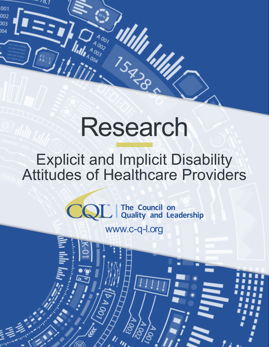# Research

**WINTERS** 

ululi<br>15g Mill

 $001$ 002

 $003$ 

العالم المنتهجة

# Explicit and Implicit Disability Attitudes of Healthcare Providers

SM **The Council on Quality and Leadership**

www.c-q-l.org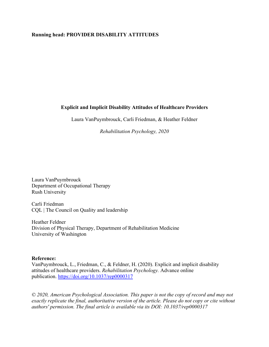# **Running head: PROVIDER DISABILITY ATTITUDES**

# **Explicit and Implicit Disability Attitudes of Healthcare Providers**

Laura VanPuymbrouck, Carli Friedman, & Heather Feldner

*Rehabilitation Psychology, 2020*

Laura VanPuymbrouck Department of Occupational Therapy Rush University

Carli Friedman CQL | The Council on Quality and leadership

Heather Feldner Division of Physical Therapy, Department of Rehabilitation Medicine University of Washington

#### **Reference:**

VanPuymbrouck, L., Friedman, C., & Feldner, H. (2020). Explicit and implicit disability attitudes of healthcare providers. *Rehabilitation Psychology.* Advance online publication. [https://doi.org/10.1037/rep0000317](https://psycnet.apa.org/doi/10.1037/rep0000317)

*© 2020, American Psychological Association. This paper is not the copy of record and may not exactly replicate the final, authoritative version of the article. Please do not copy or cite without authors' permission. The final article is available via its DOI: 10.1037/rep0000317*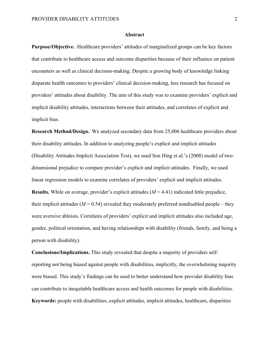#### **Abstract**

**Purpose/Objective.** Healthcare providers' attitudes of marginalized groups can be key factors that contribute to healthcare access and outcome disparities because of their influence on patient encounters as well as clinical decision-making. Despite a growing body of knowledge linking disparate health outcomes to providers' clinical decision-making, less research has focused on providers' attitudes about disability. The aim of this study was to examine providers' explicit and implicit disability attitudes, interactions between their attitudes, and correlates of explicit and implicit bias.

**Research Method/Design.** We analyzed secondary data from 25,006 healthcare providers about their disability attitudes. In addition to analyzing people's explicit and implicit attitudes (Disability Attitudes Implicit Association Test), we used Son Hing et al.'s (2008) model of twodimensional prejudice to compare provider's explicit and implicit attitudes. Finally, we used linear regression models to examine correlates of providers' explicit and implicit attitudes. **Results.** While on average, provider's explicit attitudes (*M* = 4.41) indicated little prejudice, their implicit attitudes ( $M = 0.54$ ) revealed they moderately preferred nondisabled people – they were aversive ableists. Correlates of providers' explicit and implicit attitudes also included age, gender, political orientation, and having relationships with disability (friends, family, and being a person with disability).

**Conclusions/Implications.** This study revealed that despite a majority of providers selfreporting not being biased against people with disabilities, implicitly, the overwhelming majority were biased. This study's findings can be used to better understand how provider disability bias can contribute to inequitable healthcare access and health outcomes for people with disabilities. **Keywords:** people with disabilities, explicit attitudes, implicit attitudes, healthcare, disparities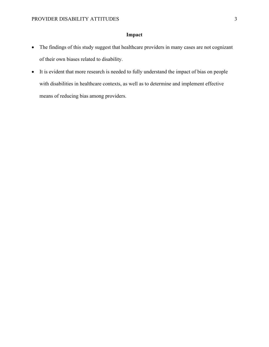# **Impact**

- The findings of this study suggest that healthcare providers in many cases are not cognizant of their own biases related to disability.
- It is evident that more research is needed to fully understand the impact of bias on people with disabilities in healthcare contexts, as well as to determine and implement effective means of reducing bias among providers.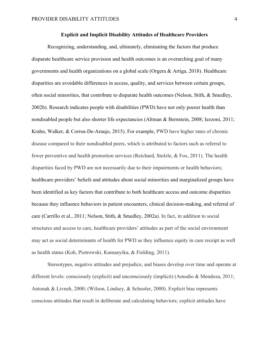#### **Explicit and Implicit Disability Attitudes of Healthcare Providers**

Recognizing, understanding, and, ultimately, eliminating the factors that produce disparate healthcare service provision and health outcomes is an overarching goal of many governments and health organizations on a global scale (Orgera & Artiga, 2018). Healthcare disparities are avoidable differences in access, quality, and services between certain groups, often social minorities, that contribute to disparate health outcomes (Nelson, Stith, & Smedley, 2002b). Research indicates people with disabilities (PWD) have not only poorer health than nondisabled people but also shorter life expectancies (Altman & Bernstein, 2008; Iezzoni, 2011; Krahn, Walker, & Correa-De-Araujo, 2015). For example, PWD have higher rates of chronic disease compared to their nondisabled peers, which is attributed to factors such as referral to fewer preventive and health promotion services (Reichard, Stolzle, & Fox, 2011). The health disparities faced by PWD are not necessarily due to their impairments or health behaviors; healthcare providers' beliefs and attitudes about social minorities and marginalized groups have been identified as key factors that contribute to both healthcare access and outcome disparities because they influence behaviors in patient encounters, clinical decision-making, and referral of care (Carrillo et al., 2011; Nelson, Stith, & Smedley, 2002a). In fact, in addition to social structures and access to care, healthcare providers' attitudes as part of the social environment may act as social determinants of health for PWD as they influence equity in care receipt as well as health status (Koh, Piotrowski, Kumanyika, & Fielding, 2011).

Stereotypes, negative attitudes and prejudice, and biases develop over time and operate at different levels: consciously (explicit) and unconsciously (implicit) (Amodio & Mendoza, 2011; Antonak & Livneh, 2000; (Wilson, Lindsey, & Schooler, 2000). Explicit bias represents conscious attitudes that result in deliberate and calculating behaviors; explicit attitudes have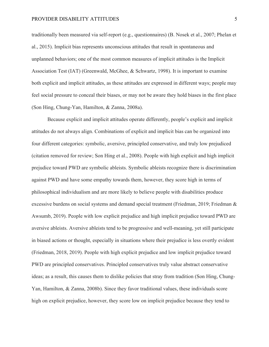traditionally been measured via self-report (e.g., questionnaires) (B. Nosek et al., 2007; Phelan et al., 2015). Implicit bias represents unconscious attitudes that result in spontaneous and unplanned behaviors; one of the most common measures of implicit attitudes is the Implicit Association Test (IAT) (Greenwald, McGhee, & Schwartz, 1998). It is important to examine both explicit and implicit attitudes, as these attitudes are expressed in different ways; people may feel social pressure to conceal their biases, or may not be aware they hold biases in the first place (Son Hing, Chung-Yan, Hamilton, & Zanna, 2008a).

Because explicit and implicit attitudes operate differently, people's explicit and implicit attitudes do not always align. Combinations of explicit and implicit bias can be organized into four different categories: symbolic, aversive, principled conservative, and truly low prejudiced (citation removed for review; Son Hing et al., 2008). People with high explicit and high implicit prejudice toward PWD are symbolic ableists. Symbolic ableists recognize there is discrimination against PWD and have some empathy towards them, however, they score high in terms of philosophical individualism and are more likely to believe people with disabilities produce excessive burdens on social systems and demand special treatment (Friedman, 2019; Friedman & Awsumb, 2019). People with low explicit prejudice and high implicit prejudice toward PWD are aversive ableists. Aversive ableists tend to be progressive and well-meaning, yet still participate in biased actions or thought, especially in situations where their prejudice is less overtly evident (Friedman, 2018, 2019). People with high explicit prejudice and low implicit prejudice toward PWD are principled conservatives. Principled conservatives truly value abstract conservative ideas; as a result, this causes them to dislike policies that stray from tradition (Son Hing, Chung-Yan, Hamilton, & Zanna, 2008b). Since they favor traditional values, these individuals score high on explicit prejudice, however, they score low on implicit prejudice because they tend to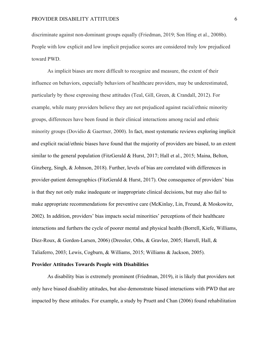discriminate against non-dominant groups equally (Friedman, 2019; Son Hing et al., 2008b). People with low explicit and low implicit prejudice scores are considered truly low prejudiced toward PWD.

As implicit biases are more difficult to recognize and measure, the extent of their influence on behaviors, especially behaviors of healthcare providers, may be underestimated, particularly by those expressing these attitudes (Teal, Gill, Green, & Crandall, 2012). For example, while many providers believe they are not prejudiced against racial/ethnic minority groups, differences have been found in their clinical interactions among racial and ethnic minority groups (Dovidio & Gaertner, 2000). In fact, most systematic reviews exploring implicit and explicit racial/ethnic biases have found that the majority of providers are biased, to an extent similar to the general population (FitzGerald & Hurst, 2017; Hall et al., 2015; Maina, Belton, Ginzberg, Singh, & Johnson, 2018). Further, levels of bias are correlated with differences in provider-patient demographics (FitzGerald & Hurst, 2017). One consequence of providers' bias is that they not only make inadequate or inappropriate clinical decisions, but may also fail to make appropriate recommendations for preventive care (McKinlay, Lin, Freund, & Moskowitz, 2002). In addition, providers' bias impacts social minorities' perceptions of their healthcare interactions and furthers the cycle of poorer mental and physical health (Borrell, Kiefe, Williams, Diez-Roux, & Gordon-Larsen, 2006) (Dressler, Oths, & Gravlee, 2005; Harrell, Hall, & Taliaferro, 2003; Lewis, Cogburn, & Williams, 2015; Williams & Jackson, 2005).

#### **Provider Attitudes Towards People with Disabilities**

As disability bias is extremely prominent (Friedman, 2019), it is likely that providers not only have biased disability attitudes, but also demonstrate biased interactions with PWD that are impacted by these attitudes. For example, a study by Pruett and Chan (2006) found rehabilitation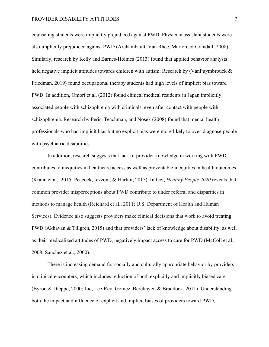counseling students were implicitly prejudiced against PWD. Physician assistant students were also implicitly prejudiced against PWD (Archambault, Van Rhee, Marion, & Crandall, 2008). Similarly, research by Kelly and Barnes-Holmes (2013) found that applied behavior analysts held negative implicit attitudes towards children with autism. Research by (VanPuymbrouck & Friedman, 2019) found occupational therapy students had high levels of implicit bias toward PWD. In addition, Omori et al. (2012) found clinical medical residents in Japan implicitly associated people with schizophrenia with criminals, even after contact with people with schizophrenia. Research by Peris, Teachman, and Nosek (2008) found that mental health professionals who had implicit bias but no explicit bias were more likely to over-diagnose people with psychiatric disabilities.

In addition, research suggests that lack of provider knowledge in working with PWD contributes to inequities in healthcare access as well as preventable inequities in health outcomes (Krahn et al., 2015; Peacock, Iezzoni, & Harkin, 2015). In fact, *Healthy People 2020* reveals that common provider misperceptions about PWD contribute to under referral and disparities in methods to manage health (Reichard et al., 2011; U.S. Department of Health and Human Services). Evidence also suggests providers make clinical decisions that work to avoid treating PWD (Akhavan & Tillgren, 2015) and that providers' lack of knowledge about disability, as well as their medicalized attitudes of PWD, negatively impact access to care for PWD (McColl et al., 2008; Sanchez et al., 2000).

There is increasing demand for socially and culturally appropriate behavior by providers in clinical encounters, which includes reduction of both explicitly and implicitly biased care (Byron & Dieppe, 2000; Lie, Lee-Rey, Gomez, Bereknyei, & Braddock, 2011). Understanding both the impact and influence of explicit and implicit biases of providers toward PWD,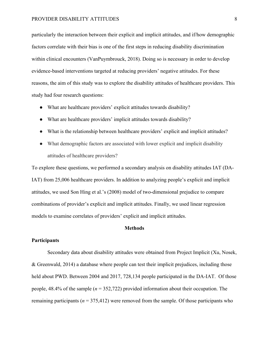particularly the interaction between their explicit and implicit attitudes, and if/how demographic factors correlate with their bias is one of the first steps in reducing disability discrimination within clinical encounters (VanPuymbrouck, 2018). Doing so is necessary in order to develop evidence-based interventions targeted at reducing providers' negative attitudes. For these reasons, the aim of this study was to explore the disability attitudes of healthcare providers. This study had four research questions:

- What are healthcare providers' explicit attitudes towards disability?
- What are healthcare providers' implicit attitudes towards disability?
- What is the relationship between healthcare providers' explicit and implicit attitudes?
- What demographic factors are associated with lower explicit and implicit disability attitudes of healthcare providers?

To explore these questions, we performed a secondary analysis on disability attitudes IAT (DA-IAT) from 25,006 healthcare providers. In addition to analyzing people's explicit and implicit attitudes, we used Son Hing et al.'s (2008) model of two-dimensional prejudice to compare combinations of provider's explicit and implicit attitudes. Finally, we used linear regression models to examine correlates of providers' explicit and implicit attitudes.

#### **Methods**

#### **Participants**

Secondary data about disability attitudes were obtained from Project Implicit (Xu, Nosek, & Greenwald, 2014) a database where people can test their implicit prejudices, including those held about PWD. Between 2004 and 2017, 728,134 people participated in the DA-IAT. Of those people, 48.4% of the sample (*n* = 352,722) provided information about their occupation. The remaining participants ( $n = 375,412$ ) were removed from the sample. Of those participants who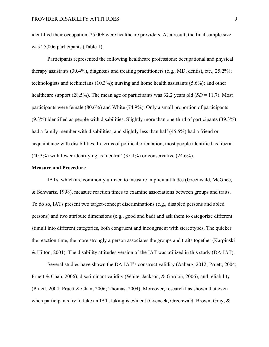identified their occupation, 25,006 were healthcare providers. As a result, the final sample size was 25,006 participants (Table 1).

Participants represented the following healthcare professions: occupational and physical therapy assistants (30.4%), diagnosis and treating practitioners (e.g., MD, dentist, etc.; 25.2%); technologists and technicians (10.3%); nursing and home health assistants (5.6%); and other healthcare support (28.5%). The mean age of participants was 32.2 years old  $(SD = 11.7)$ . Most participants were female (80.6%) and White (74.9%). Only a small proportion of participants (9.3%) identified as people with disabilities. Slightly more than one-third of participants (39.3%) had a family member with disabilities, and slightly less than half (45.5%) had a friend or acquaintance with disabilities. In terms of political orientation, most people identified as liberal (40.3%) with fewer identifying as 'neutral' (35.1%) or conservative (24.6%).

#### **Measure and Procedure**

IATs, which are commonly utilized to measure implicit attitudes (Greenwald, McGhee, & Schwartz, 1998), measure reaction times to examine associations between groups and traits. To do so, IATs present two target-concept discriminations (e.g., disabled persons and abled persons) and two attribute dimensions (e.g., good and bad) and ask them to categorize different stimuli into different categories, both congruent and incongruent with stereotypes. The quicker the reaction time, the more strongly a person associates the groups and traits together (Karpinski & Hilton, 2001). The disability attitudes version of the IAT was utilized in this study (DA-IAT).

Several studies have shown the DA-IAT's construct validity (Aaberg, 2012; Pruett, 2004; Pruett & Chan, 2006), discriminant validity (White, Jackson, & Gordon, 2006), and reliability (Pruett, 2004; Pruett & Chan, 2006; Thomas, 2004). Moreover, research has shown that even when participants try to fake an IAT, faking is evident (Cvencek, Greenwald, Brown, Gray, &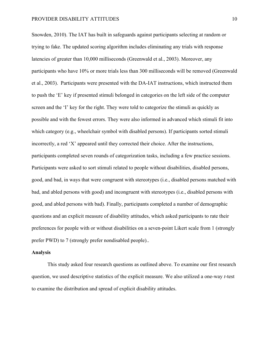Snowden, 2010). The IAT has built in safeguards against participants selecting at random or trying to fake. The updated scoring algorithm includes eliminating any trials with response latencies of greater than 10,000 milliseconds (Greenwald et al., 2003). Moreover, any participants who have 10% or more trials less than 300 milliseconds will be removed (Greenwald et al., 2003).Participants were presented with the DA-IAT instructions, which instructed them to push the 'E' key if presented stimuli belonged in categories on the left side of the computer screen and the 'I' key for the right. They were told to categorize the stimuli as quickly as possible and with the fewest errors. They were also informed in advanced which stimuli fit into which category (e.g., wheelchair symbol with disabled persons). If participants sorted stimuli incorrectly, a red 'X' appeared until they corrected their choice. After the instructions, participants completed seven rounds of categorization tasks, including a few practice sessions. Participants were asked to sort stimuli related to people without disabilities, disabled persons, good, and bad, in ways that were congruent with stereotypes (i.e., disabled persons matched with bad, and abled persons with good) and incongruent with stereotypes (i.e., disabled persons with good, and abled persons with bad). Finally, participants completed a number of demographic questions and an explicit measure of disability attitudes, which asked participants to rate their preferences for people with or without disabilities on a seven-point Likert scale from 1 (strongly prefer PWD) to 7 (strongly prefer nondisabled people)..

#### **Analysis**

This study asked four research questions as outlined above. To examine our first research question, we used descriptive statistics of the explicit measure. We also utilized a one-way *t*-test to examine the distribution and spread of explicit disability attitudes.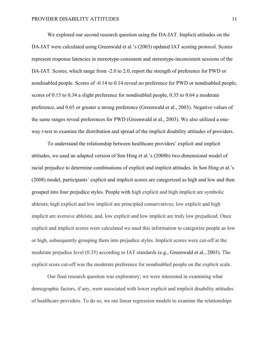We explored our second research question using the DA-IAT. Implicit attitudes on the DA-IAT were calculated using Greenwald et al.'s (2003) updated IAT scoring protocol. Scores represent response latencies in stereotype-consistent and stereotype-inconsistent sessions of the DA-IAT. Scores, which range from -2.0 to 2.0, report the strength of preference for PWD or nondisabled people. Scores of -0.14 to 0.14 reveal no preference for PWD or nondisabled people, scores of 0.15 to 0.34 a slight preference for nondisabled people, 0.35 to 0.64 a moderate preference, and 0.65 or greater a strong preference (Greenwald et al., 2003). Negative values of the same ranges reveal preferences for PWD (Greenwald et al., 2003). We also utilized a oneway *t*-test to examine the distribution and spread of the implicit disability attitudes of providers.

To understand the relationship between healthcare providers' explicit and implicit attitudes, we used an adapted version of Son Hing et al.'s (2008b) two-dimensional model of racial prejudice to determine combinations of explicit and implicit attitudes. In Son Hing et al.'s (2008) model, participants' explicit and implicit scores are categorized as high and low and then grouped into four prejudice styles. People with high explicit and high implicit are symbolic ableists; high explicit and low implicit are principled conservatives; low explicit and high implicit are aversive ableists; and, low explicit and low implicit are truly low prejudiced. Once explicit and implicit scores were calculated we used this information to categorize people as low or high, subsequently grouping them into prejudice styles. Implicit scores were cut-off at the moderate prejudice level (0.35) according to IAT standards (e.g., Greenwald et al., 2003). The explicit score cut-off was the moderate preference for nondisabled people on the explicit scale.

Our final research question was exploratory; we were interested in examining what demographic factors, if any, were associated with lower explicit and implicit disability attitudes of healthcare providers. To do so, we ran linear regression models to examine the relationships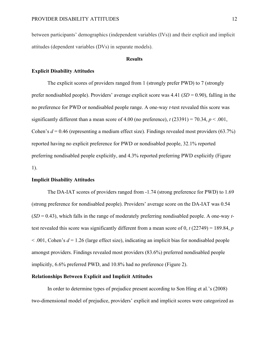between participants' demographics (independent variables (IVs)) and their explicit and implicit attitudes (dependent variables (DVs) in separate models).

#### **Results**

#### **Explicit Disability Attitudes**

The explicit scores of providers ranged from 1 (strongly prefer PWD) to 7 (strongly prefer nondisabled people). Providers' average explicit score was  $4.41$  (*SD* = 0.90), falling in the no preference for PWD or nondisabled people range. A one-way *t*-test revealed this score was significantly different than a mean score of 4.00 (no preference),  $t$  (23391) = 70.34,  $p < .001$ , Cohen's *d* = 0.46 (representing a medium effect size). Findings revealed most providers (63.7%) reported having no explicit preference for PWD or nondisabled people, 32.1% reported preferring nondisabled people explicitly, and 4.3% reported preferring PWD explicitly (Figure 1).

#### **Implicit Disability Attitudes**

The DA-IAT scores of providers ranged from -1.74 (strong preference for PWD) to 1.69 (strong preference for nondisabled people). Providers' average score on the DA-IAT was 0.54 (*SD* = 0.43), which falls in the range of moderately preferring nondisabled people. A one-way *t*test revealed this score was significantly different from a mean score of 0, *t* (22749) = 189.84, *p*   $\leq$  0.01, Cohen's  $d = 1.26$  (large effect size), indicating an implicit bias for nondisabled people amongst providers. Findings revealed most providers (83.6%) preferred nondisabled people implicitly, 6.6% preferred PWD, and 10.8% had no preference (Figure 2).

#### **Relationships Between Explicit and Implicit Attitudes**

In order to determine types of prejudice present according to Son Hing et al.'s (2008) two-dimensional model of prejudice, providers' explicit and implicit scores were categorized as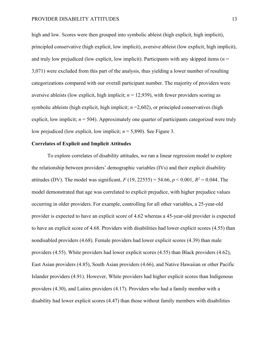high and low. Scores were then grouped into symbolic ableist (high explicit, high implicit), principled conservative (high explicit, low implicit), aversive ableist (low explicit, high implicit), and truly low prejudiced (low explicit, low implicit). Participants with any skipped items (*n* = 3,071) were excluded from this part of the analysis, thus yielding a lower number of resulting categorizations compared with our overall participant number. The majority of providers were aversive ableists (low explicit, high implicit;  $n = 12,939$ ), with fewer providers scoring as symbolic ableists (high explicit, high implicit;  $n = 2,602$ ), or principled conservatives (high explicit, low implicit;  $n = 504$ ). Approximately one quarter of participants categorized were truly low prejudiced (low explicit, low implicit; *n* = 5,890). See Figure 3.

#### **Correlates of Explicit and Implicit Attitudes**

To explore correlates of disability attitudes, we ran a linear regression model to explore the relationship between providers' demographic variables (IVs) and their explicit disability attitudes (DV). The model was significant,  $F(19, 22555) = 54.66$ ,  $p < 0.001$ ,  $R^2 = 0.044$ . The model demonstrated that age was correlated to explicit prejudice, with higher prejudice values occurring in older providers. For example, controlling for all other variables, a 25-year-old provider is expected to have an explicit score of 4.62 whereas a 45-year-old provider is expected to have an explicit score of 4.68. Providers with disabilities had lower explicit scores (4.55) than nondisabled providers (4.68). Female providers had lower explicit scores (4.39) than male providers (4.55). White providers had lower explicit scores (4.55) than Black providers (4.62), East Asian providers (4.85), South Asian providers (4.66), and Native Hawaiian or other Pacific Islander providers (4.91). However, White providers had higher explicit scores than Indigenous providers (4.30), and Latinx providers (4.17). Providers who had a family member with a disability had lower explicit scores (4.47) than those without family members with disabilities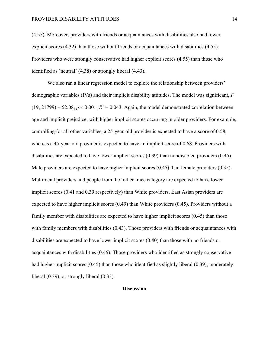(4.55). Moreover, providers with friends or acquaintances with disabilities also had lower explicit scores (4.32) than those without friends or acquaintances with disabilities (4.55). Providers who were strongly conservative had higher explicit scores (4.55) than those who identified as 'neutral' (4.38) or strongly liberal (4.43).

We also ran a linear regression model to explore the relationship between providers' demographic variables (IVs) and their implicit disability attitudes. The model was significant, *F*  $(19, 21799) = 52.08$ ,  $p < 0.001$ ,  $R^2 = 0.043$ . Again, the model demonstrated correlation between age and implicit prejudice, with higher implicit scores occurring in older providers. For example, controlling for all other variables, a 25-year-old provider is expected to have a score of 0.58, whereas a 45-year-old provider is expected to have an implicit score of 0.68. Providers with disabilities are expected to have lower implicit scores (0.39) than nondisabled providers (0.45). Male providers are expected to have higher implicit scores (0.45) than female providers (0.35). Multiracial providers and people from the 'other' race category are expected to have lower implicit scores (0.41 and 0.39 respectively) than White providers. East Asian providers are expected to have higher implicit scores (0.49) than White providers (0.45). Providers without a family member with disabilities are expected to have higher implicit scores (0.45) than those with family members with disabilities (0.43). Those providers with friends or acquaintances with disabilities are expected to have lower implicit scores (0.40) than those with no friends or acquaintances with disabilities (0.45). Those providers who identified as strongly conservative had higher implicit scores (0.45) than those who identified as slightly liberal (0.39), moderately liberal (0.39), or strongly liberal (0.33).

#### **Discussion**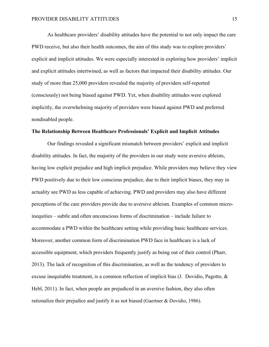As healthcare providers' disability attitudes have the potential to not only impact the care PWD receive, but also their health outcomes, the aim of this study was to explore providers' explicit and implicit attitudes. We were especially interested in exploring how providers' implicit and explicit attitudes intertwined, as well as factors that impacted their disability attitudes. Our study of more than 25,000 providers revealed the majority of providers self-reported (consciously) not being biased against PWD. Yet, when disability attitudes were explored implicitly, the overwhelming majority of providers were biased against PWD and preferred nondisabled people.

#### **The Relationship Between Healthcare Professionals' Explicit and Implicit Attitudes**

Our findings revealed a significant mismatch between providers' explicit and implicit disability attitudes. In fact, the majority of the providers in our study were aversive ableists, having low explicit prejudice and high implicit prejudice. While providers may believe they view PWD positively due to their low conscious prejudice, due to their implicit biases, they may in actuality see PWD as less capable of achieving. PWD and providers may also have different perceptions of the care providers provide due to aversive ableism. Examples of common microinequities – subtle and often unconscious forms of discrimination – include failure to accommodate a PWD within the healthcare setting while providing basic healthcare services. Moreover, another common form of discrimination PWD face in healthcare is a lack of accessible equipment, which providers frequently justify as being out of their control (Pharr, 2013). The lack of recognition of this discrimination, as well as the tendency of providers to excuse inequitable treatment, is a common reflection of implicit bias (J. Dovidio, Pagotto, & Hebl, 2011). In fact, when people are prejudiced in an aversive fashion, they also often rationalize their prejudice and justify it as not biased (Gaertner & Dovidio, 1986).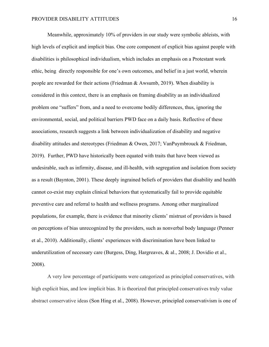Meanwhile, approximately 10% of providers in our study were symbolic ableists, with high levels of explicit and implicit bias. One core component of explicit bias against people with disabilities is philosophical individualism, which includes an emphasis on a Protestant work ethic, being directly responsible for one's own outcomes, and belief in a just world, wherein people are rewarded for their actions (Friedman & Awsumb, 2019). When disability is considered in this context, there is an emphasis on framing disability as an individualized problem one "suffers" from, and a need to overcome bodily differences, thus, ignoring the environmental, social, and political barriers PWD face on a daily basis. Reflective of these associations, research suggests a link between individualization of disability and negative disability attitudes and stereotypes (Friedman & Owen, 2017; VanPuymbrouck & Friedman, 2019). Further, PWD have historically been equated with traits that have been viewed as undesirable, such as infirmity, disease, and ill-health, with segregation and isolation from society as a result (Baynton, 2001). These deeply ingrained beliefs of providers that disability and health cannot co-exist may explain clinical behaviors that systematically fail to provide equitable preventive care and referral to health and wellness programs. Among other marginalized populations, for example, there is evidence that minority clients' mistrust of providers is based on perceptions of bias unrecognized by the providers, such as nonverbal body language (Penner et al., 2010). Additionally, clients' experiences with discrimination have been linked to underutilization of necessary care (Burgess, Ding, Hargreaves, & al., 2008; J. Dovidio et al., 2008).

A very low percentage of participants were categorized as principled conservatives, with high explicit bias, and low implicit bias. It is theorized that principled conservatives truly value abstract conservative ideas (Son Hing et al., 2008). However, principled conservativism is one of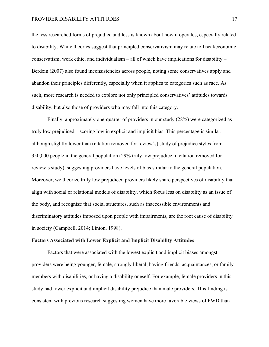the less researched forms of prejudice and less is known about how it operates, especially related to disability. While theories suggest that principled conservativism may relate to fiscal/economic conservatism, work ethic, and individualism – all of which have implications for disability – Berdein (2007) also found inconsistencies across people, noting some conservatives apply and abandon their principles differently, especially when it applies to categories such as race. As such, more research is needed to explore not only principled conservatives' attitudes towards disability, but also those of providers who may fall into this category.

Finally, approximately one-quarter of providers in our study (28%) were categorized as truly low prejudiced – scoring low in explicit and implicit bias. This percentage is similar, although slightly lower than (citation removed for review's) study of prejudice styles from 350,000 people in the general population (29% truly low prejudice in citation removed for review's study), suggesting providers have levels of bias similar to the general population. Moreover, we theorize truly low prejudiced providers likely share perspectives of disability that align with social or relational models of disability, which focus less on disability as an issue of the body, and recognize that social structures, such as inaccessible environments and discriminatory attitudes imposed upon people with impairments, are the root cause of disability in society (Campbell, 2014; Linton, 1998).

#### **Factors Associated with Lower Explicit and Implicit Disability Attitudes**

Factors that were associated with the lowest explicit and implicit biases amongst providers were being younger, female, strongly liberal, having friends, acquaintances, or family members with disabilities, or having a disability oneself. For example, female providers in this study had lower explicit and implicit disability prejudice than male providers. This finding is consistent with previous research suggesting women have more favorable views of PWD than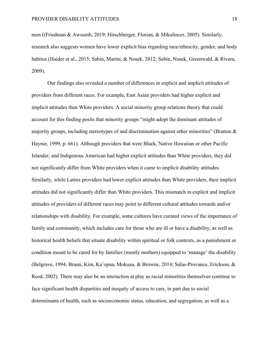men ((Friedman & Awsumb, 2019; Hirschberger, Florian, & Mikulincer, 2005). Similarly, research also suggests women have lower explicit bias regarding race/ethnicity, gender, and body habitus (Haider et al., 2015; Sabin, Marini, & Nosek, 2012; Sabin, Nosek, Greenwald, & Rivara, 2009).

Our findings also revealed a number of differences in explicit and implicit attitudes of providers from different races. For example, East Asian providers had higher explicit and implicit attitudes than White providers. A social minority group relations theory that could account for this finding posits that minority groups "might adopt the dominant attitudes of majority groups, including stereotypes of and discrimination against other minorities" (Bratton & Haynie, 1999, p. 661). Although providers that were Black, Native Hawaiian or other Pacific Islander, and Indigenous American had higher explicit attitudes than White providers, they did not significantly differ from White providers when it came to implicit disability attitudes. Similarly, while Latinx providers had lower explicit attitudes than White providers, their implicit attitudes did not significantly differ than White providers. This mismatch in explicit and implicit attitudes of providers of different races may point to different cultural attitudes towards and/or relationships with disability. For example, some cultures have curated views of the importance of family and community, which includes care for those who are ill or have a disability, as well as historical health beliefs that situate disability within spiritual or folk contexts, as a punishment or condition meant to be cared for by families (mostly mothers) equipped to 'manage' the disability (Belgrave, 1994; Braun, Kim, Ka'opua, Mokuau, & Browne, 2014; Salas-Provance, Erickson, & Reed, 2002). There may also be an interaction at play as racial minorities themselves continue to face significant health disparities and inequity of access to care, in part due to social determinants of health, such as socioeconomic status, education, and segregation, as well as a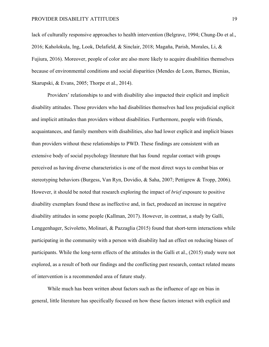lack of culturally responsive approaches to health intervention (Belgrave, 1994; Chung-Do et al., 2016; Kaholokula, Ing, Look, Delafield, & Sinclair, 2018; Magaña, Parish, Morales, Li, & Fujiura, 2016). Moreover, people of color are also more likely to acquire disabilities themselves because of environmental conditions and social disparities (Mendes de Leon, Barnes, Bienias, Skarupski, & Evans, 2005; Thorpe et al., 2014).

Providers' relationships to and with disability also impacted their explicit and implicit disability attitudes. Those providers who had disabilities themselves had less prejudicial explicit and implicit attitudes than providers without disabilities. Furthermore, people with friends, acquaintances, and family members with disabilities, also had lower explicit and implicit biases than providers without these relationships to PWD. These findings are consistent with an extensive body of social psychology literature that has found regular contact with groups perceived as having diverse characteristics is one of the most direct ways to combat bias or stereotyping behaviors (Burgess, Van Ryn, Dovidio, & Saha, 2007; Pettigrew & Tropp, 2006). However, it should be noted that research exploring the impact of *brief* exposure to positive disability exemplars found these as ineffective and, in fact, produced an increase in negative disability attitudes in some people (Kallman, 2017). However, in contrast, a study by Galli, Lenggenhager, Scivoletto, Molinari, & Pazzaglia (2015) found that short-term interactions while participating in the community with a person with disability had an effect on reducing biases of participants. While the long-term effects of the attitudes in the Galli et al., (2015) study were not explored, as a result of both our findings and the conflicting past research, contact related means of intervention is a recommended area of future study.

While much has been written about factors such as the influence of age on bias in general, little literature has specifically focused on how these factors interact with explicit and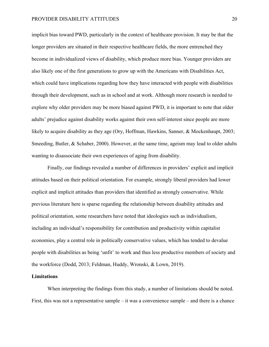implicit bias toward PWD, particularly in the context of healthcare provision. It may be that the longer providers are situated in their respective healthcare fields, the more entrenched they become in individualized views of disability, which produce more bias. Younger providers are also likely one of the first generations to grow up with the Americans with Disabilities Act, which could have implications regarding how they have interacted with people with disabilities through their development, such as in school and at work. Although more research is needed to explore why older providers may be more biased against PWD, it is important to note that older adults' prejudice against disability works against their own self-interest since people are more likely to acquire disability as they age (Ory, Hoffman, Hawkins, Sanner, & Mockenhaupt, 2003; Smeeding, Butler, & Schaber, 2000). However, at the same time, ageism may lead to older adults wanting to disassociate their own experiences of aging from disability.

Finally, our findings revealed a number of differences in providers' explicit and implicit attitudes based on their political orientation. For example, strongly liberal providers had lower explicit and implicit attitudes than providers that identified as strongly conservative. While previous literature here is sparse regarding the relationship between disability attitudes and political orientation, some researchers have noted that ideologies such as individualism, including an individual's responsibility for contribution and productivity within capitalist economies, play a central role in politically conservative values, which has tended to devalue people with disabilities as being 'unfit' to work and thus less productive members of society and the workforce (Dodd, 2013; Feldman, Huddy, Wronski, & Lown, 2019).

#### **Limitations**

When interpreting the findings from this study, a number of limitations should be noted. First, this was not a representative sample – it was a convenience sample – and there is a chance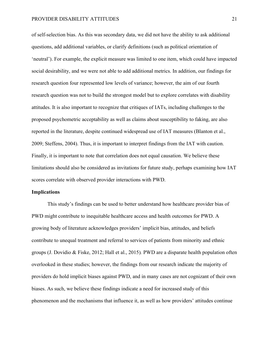of self-selection bias. As this was secondary data, we did not have the ability to ask additional questions, add additional variables, or clarify definitions (such as political orientation of 'neutral'). For example, the explicit measure was limited to one item, which could have impacted social desirability, and we were not able to add additional metrics. In addition, our findings for research question four represented low levels of variance; however, the aim of our fourth research question was not to build the strongest model but to explore correlates with disability attitudes. It is also important to recognize that critiques of IATs, including challenges to the proposed psychometric acceptability as well as claims about susceptibility to faking, are also reported in the literature, despite continued widespread use of IAT measures (Blanton et al., 2009; Steffens, 2004). Thus, it is important to interpret findings from the IAT with caution. Finally, it is important to note that correlation does not equal causation. We believe these limitations should also be considered as invitations for future study, perhaps examining how IAT scores correlate with observed provider interactions with PWD.

#### **Implications**

This study's findings can be used to better understand how healthcare provider bias of PWD might contribute to inequitable healthcare access and health outcomes for PWD. A growing body of literature acknowledges providers' implicit bias, attitudes, and beliefs contribute to unequal treatment and referral to services of patients from minority and ethnic groups (J. Dovidio & Fiske, 2012; Hall et al., 2015)*.* PWD are a disparate health population often overlooked in these studies; however, the findings from our research indicate the majority of providers do hold implicit biases against PWD, and in many cases are not cognizant of their own biases. As such, we believe these findings indicate a need for increased study of this phenomenon and the mechanisms that influence it, as well as how providers' attitudes continue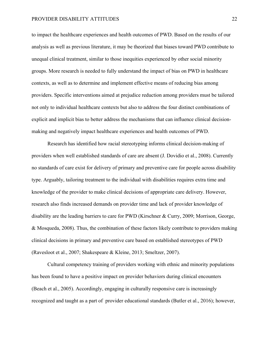to impact the healthcare experiences and health outcomes of PWD. Based on the results of our analysis as well as previous literature, it may be theorized that biases toward PWD contribute to unequal clinical treatment, similar to those inequities experienced by other social minority groups. More research is needed to fully understand the impact of bias on PWD in healthcare contexts, as well as to determine and implement effective means of reducing bias among providers. Specific interventions aimed at prejudice reduction among providers must be tailored not only to individual healthcare contexts but also to address the four distinct combinations of explicit and implicit bias to better address the mechanisms that can influence clinical decisionmaking and negatively impact healthcare experiences and health outcomes of PWD.

Research has identified how racial stereotyping informs clinical decision-making of providers when well established standards of care are absent (J. Dovidio et al., 2008). Currently no standards of care exist for delivery of primary and preventive care for people across disability type. Arguably, tailoring treatment to the individual with disabilities requires extra time and knowledge of the provider to make clinical decisions of appropriate care delivery. However, research also finds increased demands on provider time and lack of provider knowledge of disability are the leading barriers to care for PWD (Kirschner & Curry, 2009; Morrison, George, & Mosqueda, 2008). Thus, the combination of these factors likely contribute to providers making clinical decisions in primary and preventive care based on established stereotypes of PWD (Ravesloot et al., 2007; Shakespeare & Kleine, 2013; Smeltzer, 2007).

Cultural competency training of providers working with ethnic and minority populations has been found to have a positive impact on provider behaviors during clinical encounters (Beach et al., 2005). Accordingly, engaging in culturally responsive care is increasingly recognized and taught as a part of provider educational standards (Butler et al., 2016); however,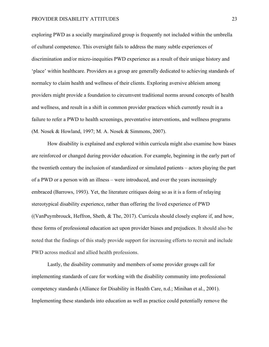exploring PWD as a socially marginalized group is frequently not included within the umbrella of cultural competence. This oversight fails to address the many subtle experiences of discrimination and/or micro-inequities PWD experience as a result of their unique history and 'place' within healthcare. Providers as a group are generally dedicated to achieving standards of normalcy to claim health and wellness of their clients. Exploring aversive ableism among providers might provide a foundation to circumvent traditional norms around concepts of health and wellness, and result in a shift in common provider practices which currently result in a failure to refer a PWD to health screenings, preventative interventions, and wellness programs (M. Nosek & Howland, 1997; M. A. Nosek & Simmons, 2007).

How disability is explained and explored within curricula might also examine how biases are reinforced or changed during provider education. For example, beginning in the early part of the twentieth century the inclusion of standardized or simulated patients – actors playing the part of a PWD or a person with an illness – were introduced, and over the years increasingly embraced (Barrows, 1993). Yet, the literature critiques doing so as it is a form of relaying stereotypical disability experience, rather than offering the lived experience of PWD ((VanPuymbrouck, Heffron, Sheth, & The, 2017). Curricula should closely explore if, and how, these forms of professional education act upon provider biases and prejudices. It should also be noted that the findings of this study provide support for increasing efforts to recruit and include PWD across medical and allied health professions.

Lastly, the disability community and members of some provider groups call for implementing standards of care for working with the disability community into professional competency standards (Alliance for Disability in Health Care, n.d.; Minihan et al., 2001). Implementing these standards into education as well as practice could potentially remove the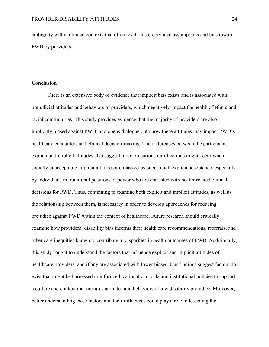ambiguity within clinical contexts that often result in stereotypical assumptions and bias toward PWD by providers.

#### **Conclusion**

There is an extensive body of evidence that implicit bias exists and is associated with prejudicial attitudes and behaviors of providers, which negatively impact the health of ethnic and racial communities. This study provides evidence that the majority of providers are also implicitly biased against PWD, and opens dialogue onto how these attitudes may impact PWD's healthcare encounters and clinical decision-making. The differences between the participants' explicit and implicit attitudes also suggest more precarious ramifications might occur when socially unacceptable implicit attitudes are masked by superficial, explicit acceptance, especially by individuals in traditional positions of power who are entrusted with health-related clinical decisions for PWD. Thus, continuing to examine both explicit and implicit attitudes, as well as the relationship between them, is necessary in order to develop approaches for reducing prejudice against PWD within the context of healthcare. Future research should critically examine how providers' disability bias informs their health care recommendations, referrals, and other care inequities known to contribute to disparities in health outcomes of PWD. Additionally, this study sought to understand the factors that influence explicit and implicit attitudes of healthcare providers, and if any are associated with lower biases. Our findings suggest factors do exist that might be harnessed to inform educational curricula and institutional policies to support a culture and context that nurtures attitudes and behaviors of low disability prejudice. Moreover, better understanding these factors and their influences could play a role in lessening the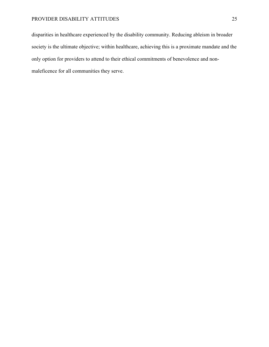disparities in healthcare experienced by the disability community. Reducing ableism in broader society is the ultimate objective; within healthcare, achieving this is a proximate mandate and the only option for providers to attend to their ethical commitments of benevolence and nonmaleficence for all communities they serve.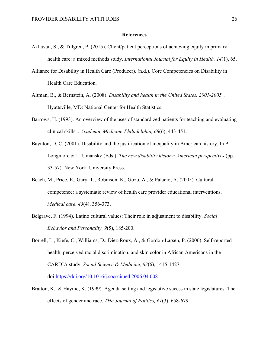#### **References**

- Akhavan, S., & Tillgren, P. (2015). Client/patient perceptions of achieving equity in primary health care: a mixed methods study. *International Journal for Equity in Health, 14*(1), 65.
- Alliance for Disability in Health Care (Producer). (n.d.). Core Competencies on Disability in Health Care Education.
- Altman, B., & Bernstein, A. (2008). *Disability and health in the United States, 2001-2005.* . Hyattsville, MD: National Center for Health Statistics.
- Barrows, H. (1993). An overview of the uses of standardized patients for teaching and evaluating clinical skills. . *Academic Medicine-Philadelphia, 68*(6), 443-451.
- Baynton, D. C. (2001). Disability and the justification of inequality in American history. In P. Longmore & L. Umansky (Eds.), *The new disability history: American perspectives* (pp. 33-57). New York: University Press.
- Beach, M., Price, E., Gary, T., Robinson, K., Gozu, A., & Palacio, A. (2005). Cultural competence: a systematic review of health care provider educational interventions. *Medical care, 43*(4), 356-373.
- Belgrave, F. (1994). Latino cultural values: Their role in adjustment to disability. *Social Behavior and Personality, 9*(5), 185-200.
- Borrell, L., Kiefe, C., Williams, D., Diez-Roux, A., & Gordon-Larsen, P. (2006). Self-reported health, perceived racial discrimination, and skin color in African Americans in the CARDIA study. *Social Science & Medicine, 63*(6), 1415-1427. doi[:https://doi.org/10.1016/j.socscimed.2006.04.008](https://doi.org/10.1016/j.socscimed.2006.04.008)
- Bratton, K., & Haynie, K. (1999). Agenda setting and legislative sucess in state legislatures: The effects of gender and race. *THe Journal of Politics, 61*(3), 658-679.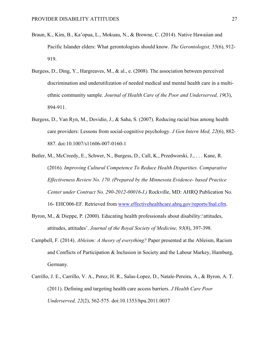- Braun, K., Kim, B., Ka'opua, L., Mokuau, N., & Browne, C. (2014). Native Hawaiian and Pacific Islander elders: What gerontologists should know. *The Gerontologist, 55*(6), 912- 919.
- Burgess, D., Ding, Y., Hargreaves, M., & al., e. (2008). The association between perceived discrimination and underutilization of needed medical and mental health care in a multiethnic community sample. *Journal of Health Care of the Poor and Underserved, 19*(3), 894-911.
- Burgess, D., Van Ryn, M., Dovidio, J., & Saha, S. (2007). Reducing racial bias among health care providers: Lessons from social-cognitive psychology. *J Gen Intern Med, 22*(6), 882- 887. doi:10.1007/s11606-007-0160-1
- Butler, M., McCreedy, E., Schwer, N., Burgess, D., Call, K., Przedworski, J., . . . Kane, R. (2016). *Improving Cultural Competence To Reduce Health Disparities. Comparative Effectiveness Review No. 170. (Prepared by the Minnesota Evidence- based Practice Center under Contract No. 290-2012-00016-I.)* Rockville, MD: AHRQ Publication No. 16- EHC006-EF. Retrieved from [www.effectivehealthcare.ahrq.gov/reports/fnal.cfm.](www.effectivehealthcare.ahrq.gov/reports/fnal.cfm)
- Byron, M., & Dieppe, P. (2000). Educating health professionals about disability:'attitudes, attitudes, attitudes'. *Journal of the Royal Society of Medicine, 93*(8), 397-398.
- Campbell, F. (2014). *Ableism: A theory of everything?* Paper presented at the Ableism, Racism and Conflicts of Participation & Inclusion in Society and the Labour Markey, Hamburg, Germany.
- Carrillo, J. E., Carrillo, V. A., Perez, H. R., Salas-Lopez, D., Natale-Pereira, A., & Byron, A. T. (2011). Defining and targeting health care access barriers. *J Health Care Poor Underserved, 22*(2), 562-575. doi:10.1353/hpu.2011.0037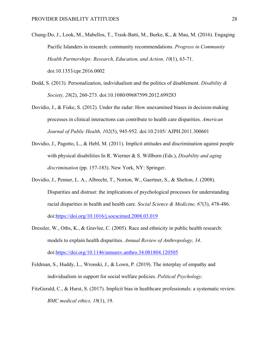- Chung-Do, J., Look, M., Mabellos, T., Trask-Batti, M., Burke, K., & Mau, M. (2016). Engaging Pacific Islanders in research: community recommendations. *Progress in Community Health Partnerships: Research, Education, and Action, 10*(1), 63-71. doi:10.1353/cpr.2016.0002
- Dodd, S. (2013). Personalization, individualism and the politics of disablement. *Disability & Society, 28*(2), 260-273. doi:10.1080/09687599.2012.699283
- Dovidio, J., & Fiske, S. (2012). Under the radar: How unexamined biases in decision-making processes in clinical interactions can contribute to health care disparities. *American Journal of Public Health, 102*(5), 945-952. doi:10.2105/ AJPH.2011.300601
- Dovidio, J., Pagotto, L., & Hebl, M. (2011). Implicit attitudes and discrimination against people with physical disabilities In R. Wierner & S. Willborn (Eds.), *Disability and aging discrimination* (pp. 157-183). New York, NY: Springer.
- Dovidio, J., Penner, L. A., Albrecht, T., Norton, W., Gaertner, S., & Shelton, J. (2008). Disparities and distrust: the implications of psychological processes for understanding racial disparities in health and health care. *Social Science & Medicine, 67*(3), 478-486. doi[:https://doi.org/10.1016/j.socscimed.2008.03.019](https://doi.org/10.1016/j.socscimed.2008.03.019)
- Dressler, W., Oths, K., & Gravlee, C. (2005). Race and ethnicity in public health research: models to explain health disparities. *Annual Review of Anthropology, 34*. doi[:https://doi.org/10.1146/annurev.anthro.34.081804.120505](https://doi.org/10.1146/annurev.anthro.34.081804.120505)
- Feldman, S., Huddy, L., Wronski, J., & Lown, P. (2019). The interplay of empathy and individualism in support for social welfare policies. *Political Psychology*.
- FitzGerald, C., & Hurst, S. (2017). Implicit bias in healthcare professionals: a systematic review. *BMC medical ethics, 18*(1), 19.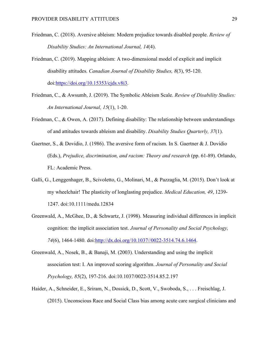- Friedman, C. (2018). Aversive ableism: Modern prejudice towards disabled people. *Review of Disability Studies: An International Journal, 14*(4).
- Friedman, C. (2019). Mapping ableism: A two-dimensional model of explicit and implicit disability attitudes. *Canadian Journal of Disability Studies, 8*(3), 95-120. doi[:https://doi.org/10.15353/cjds.v8i3.](https://doi.org/10.15353/cjds.v8i3)
- Friedman, C., & Awsumb, J. (2019). The Symbolic Ableism Scale. *Review of Disability Studies: An International Journal, 15*(1), 1-20.
- Friedman, C., & Owen, A. (2017). Defining disability: The relationship between understandings of and attitudes towards ableism and disability. *Disability Studies Quarterly, 37*(1).
- Gaertner, S., & Dovidio, J. (1986). The aversive form of racism. In S. Gaertner & J. Dovidio (Eds.), *Prejudice, discrimination, and racism: Theory and research* (pp. 61-89). Orlando, FL: Academic Press.
- Galli, G., Lenggenhager, B., Scivoletto, G., Molinari, M., & Pazzaglia, M. (2015). Don't look at my wheelchair! The plasticity of longlasting prejudice. *Medical Education, 49*, 1239- 1247. doi:10.1111/medu.12834
- Greenwald, A., McGhee, D., & Schwartz, J. (1998). Measuring individual differences in implicit cognition: the implicit association test. *Journal of Personality and Social Psychology, 74*(6), 1464-1480. doi[:http://dx.doi.org/10.1037//0022-3514.74.6.1464.](http://dx.doi.org/10.1037/0022-3514.74.6.1464)
- Greenwald, A., Nosek, B., & Banaji, M. (2003). Understanding and using the implicit association test: I. An improved scoring algorithm. *Journal of Personality and Social Psychology, 85*(2), 197-216. doi:10.1037/0022-3514.85.2.197
- Haider, A., Schneider, E., Sriram, N., Dossick, D., Scott, V., Swoboda, S., . . . Freischlag, J. (2015). Unconscious Race and Social Class bias among acute care surgical clinicians and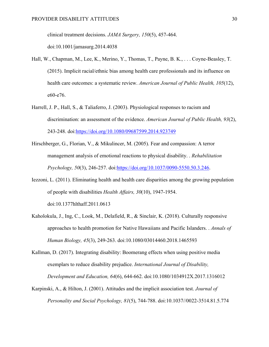clinical treatment decisions. *JAMA Surgery, 150*(5), 457-464.

doi:10.1001/jamasurg.2014.4038

- Hall, W., Chapman, M., Lee, K., Merino, Y., Thomas, T., Payne, B. K., . . . Coyne-Beasley, T. (2015). Implicit racial/ethnic bias among health care professionals and its influence on health care outcomes: a systematic review. *American Journal of Public Health, 105*(12), e60-e76.
- Harrell, J. P., Hall, S., & Taliaferro, J. (2003). Physiological responses to racism and discrimination: an assessment of the evidence. *American Journal of Public Health, 93*(2), 243-248. doi[:https://doi.org/10.1080/09687599.2014.923749](https://doi.org/10.1080/09687599.2014.923749)
- Hirschberger, G., Florian, V., & Mikulincer, M. (2005). Fear and compassion: A terror management analysis of emotional reactions to physical disability. . *Rehabilitation Psychology, 50*(3), 246-257. doi[:https://doi.org/10.1037/0090-5550.50.3.246.](https://doi.org/10.1037/0090-5550.50.3.246)
- Iezzoni, L. (2011). Eliminating health and health care disparities among the growing population of people with disabilities *Health Affairs, 30*(10), 1947-1954. doi:10.1377hlthaff.2011.0613
- Kaholokula, J., Ing, C., Look, M., Delafield, R., & Sinclair, K. (2018). Culturally responsive approaches to health promotion for Native Hawaiians and Pacific Islanders. . *Annals of Human Biology, 45*(3), 249-263. doi:10.1080/03014460.2018.1465593
- Kallman, D. (2017). Integrating disability: Boomerang effects when using positive media exemplars to reduce disability prejudice. *International Journal of Disability, Development and Education, 64*(6), 644-662. doi:10.1080/1034912X.2017.1316012
- Karpinski, A., & Hilton, J. (2001). Attitudes and the implicit association test. *Journal of Personality and Social Psychology, 81*(5), 744-788. doi:10.1037//0022-3514.81.5.774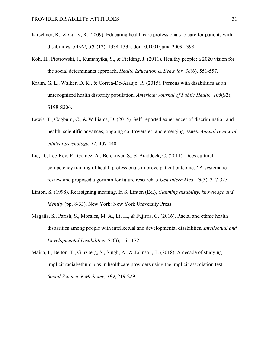- Kirschner, K., & Curry, R. (2009). Educating health care professionals to care for patients with disabilities. *JAMA, 302*(12), 1334-1335. doi:10.1001/jama.2009.1398
- Koh, H., Piotrowski, J., Kumanyika, S., & Fielding, J. (2011). Healthy people: a 2020 vision for the social determinants approach. *Health Education & Behavior, 38*(6), 551-557.
- Krahn, G. L., Walker, D. K., & Correa-De-Araujo, R. (2015). Persons with disabilities as an unrecognized health disparity population. *American Journal of Public Health, 105*(S2), S198-S206.
- Lewis, T., Cogburn, C., & Williams, D. (2015). Self-reported experiences of discrimination and health: scientific advances, ongoing controversies, and emerging issues. *Annual review of clinical psychology, 11*, 407-440.
- Lie, D., Lee-Rey, E., Gomez, A., Bereknyei, S., & Braddock, C. (2011). Does cultural competency training of health professionals improve patient outcomes? A systematic review and proposed algorithm for future research. *J Gen Intern Med, 26*(3), 317-325.
- Linton, S. (1998). Reassigning meaning. In S. Linton (Ed.), *Claiming disability, knowledge and identity* (pp. 8-33). New York: New York University Press.
- Magaña, S., Parish, S., Morales, M. A., Li, H., & Fujiura, G. (2016). Racial and ethnic health disparities among people with intellectual and developmental disabilities. *Intellectual and Developmental Disabilities, 54*(3), 161-172.
- Maina, I., Belton, T., Ginzberg, S., Singh, A., & Johnson, T. (2018). A decade of studying implicit racial/ethnic bias in healthcare providers using the implicit association test. *Social Science & Medicine, 199*, 219-229.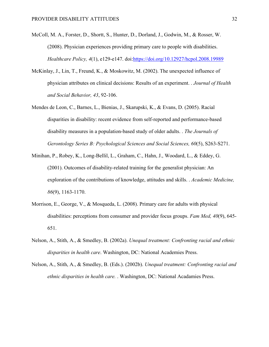- McColl, M. A., Forster, D., Shortt, S., Hunter, D., Dorland, J., Godwin, M., & Rosser, W. (2008). Physician experiences providing primary care to people with disabilities. *Healthcare Policy, 4*(1), e129-e147. doi[:https://doi.org/10.12927/hcpol.2008.19989](https://doi.org/10.12927/hcpol.2008.19989)
- McKinlay, J., Lin, T., Freund, K., & Moskowitz, M. (2002). The unexpected influence of physician attributes on clinical decisions: Results of an experiment. . *Journal of Health and Social Behavior, 43*, 92-106.
- Mendes de Leon, C., Barnes, L., Bienias, J., Skarupski, K., & Evans, D. (2005). Racial disparities in disability: recent evidence from self-reported and performance-based disability measures in a population-based study of older adults. . *The Journals of Gerontology Series B: Psychological Sciences and Social Sciences, 60*(5), S263-S271.
- Minihan, P., Robey, K., Long-Bellil, L., Graham, C., Hahn, J., Woodard, L., & Eddey, G. (2001). Outcomes of disability-related training for the generalist physician: An exploration of the contributions of knowledge, attitudes and skills. . *Academic Medicine, 86*(9), 1163-1170.
- Morrison, E., George, V., & Mosqueda, L. (2008). Primary care for adults with physical disabilities: perceptions from consumer and provider focus groups. *Fam Med, 40*(9), 645- 651.
- Nelson, A., Stith, A., & Smedley, B. (2002a). *Unequal treatment: Confronting racial and ethnic disparities in health care*. Washington, DC: National Academies Press.
- Nelson, A., Stith, A., & Smedley, B. (Eds.). (2002b). *Unequal treatment: Confronting racial and ethnic disparities in health care.* . Washington, DC: National Acadamies Press.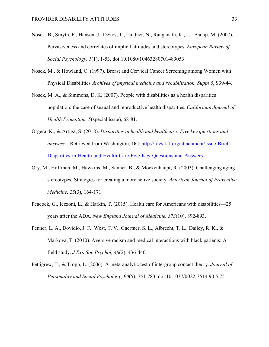- Nosek, B., Smyth, F., Hansen, J., Devos, T., Lindner, N., Ranganath, K., . . . Banaji, M. (2007). Pervasiveness and correlates of implicit attitudes and stereotypes. *European Review of Social Psychology, 1*(1), 1-53. doi:10.1080/10463280701489053
- Nosek, M., & Howland, C. (1997). Breast and Cervical Cancer Screening among Women with Physical Disabilities *Archives of physical medicine and rehabilitation, Suppl 5*, S39-44.
- Nosek, M. A., & Simmons, D. K. (2007). People with disabilities as a health disparities population: the case of sexual and reproductive health disparities. *Californian Journal of Health Promotion, 5*(special issue), 68-81.
- Orgera, K., & Artiga, S. (2018). *Disparities in health and healthcare: Five key questions and answers.* . Retrieved from Washington, DC: [http://files.kff.org/attachment/Issue-Brief-](http://files.kff.org/attachment/Issue-Brief-Disparities-in-Health-and-Health-Care-Five-Key-Questions-and-Answers)[Disparities-in-Health-and-Health-Care-Five-Key-Questions-and-Answers](http://files.kff.org/attachment/Issue-Brief-Disparities-in-Health-and-Health-Care-Five-Key-Questions-and-Answers)
- Ory, M., Hoffman, M., Hawkins, M., Sanner, B., & Mockenhaupt, R. (2003). Challenging aging stereotypes: Strategies for creating a more active society. *American Journal of Preventive Medicine, 25*(3), 164-171.
- Peacock, G., Iezzoni, L., & Harkin, T. (2015). Health care for Americans with disabilities—25 years after the ADA. *New England Journal of Medicine, 373*(10), 892-893.
- Penner, L. A., Dovidio, J. F., West, T. V., Gaertner, S. L., Albrecht, T. L., Dailey, R. K., & Markova, T. (2010). Aversive racism and medical interactions with black patients: A field study. *J Exp Soc Psychol, 46*(2), 436-440.
- Pettigrew, T., & Tropp, L. (2006). A meta-analytic test of intergroup contact theory. *Journal of Personality and Social Psychology, 90*(5), 751-783. doi:10.1037/0022-3514.90.5.751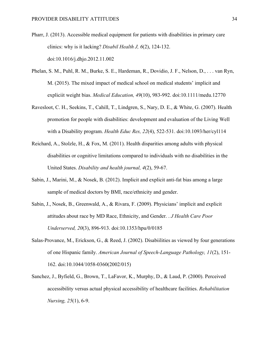- Pharr, J. (2013). Accessible medical equipment for patients with disabilities in primary care clinics: why is it lacking? *Disabil Health J, 6*(2), 124-132. doi:10.1016/j.dhjo.2012.11.002
- Phelan, S. M., Puhl, R. M., Burke, S. E., Hardeman, R., Dovidio, J. F., Nelson, D., . . . van Ryn, M. (2015). The mixed impact of medical school on medical students' implicit and expliciit weight bias. *Medical Education, 49*(10), 983-992. doi:10.1111/medu.12770
- Ravesloot, C. H., Seekins, T., Cahill, T., Lindgren, S., Nary, D. E., & White, G. (2007). Health promotion for people with disabilities: development and evaluation of the Living Well with a Disability program. *Health Educ Res, 22*(4), 522-531. doi:10.1093/her/cyl114
- Reichard, A., Stolzle, H., & Fox, M. (2011). Health disparities among adults with physical disabilities or cognitive limitations compared to individuals with no disabilities in the United States. *Disability and health journal, 4*(2), 59-67.
- Sabin, J., Marini, M., & Nosek, B. (2012). Implicit and explicit anti-fat bias among a large sample of medical doctors by BMI, race/ethnicity and gender.
- Sabin, J., Nosek, B., Greenwald, A., & Rivara, F. (2009). Physicians' implicit and explicit attitudes about race by MD Race, Ethnicity, and Gender. . *J Health Care Poor Underserved, 20*(3), 896-913. doi:10.1353/hpu/0/0185
- Salas-Provance, M., Erickson, G., & Reed, J. (2002). Disabiilities as viewed by four generations of one Hispanic family. *American Journal of Speech-Language Pathology, 11*(2), 151- 162. doi:10.1044/1058-0360(2002/015)
- Sanchez, J., Byfield, G., Brown, T., LaFavor, K., Murphy, D., & Laud, P. (2000). Perceived accessibility versus actual physical accessibility of healthcare facilities. *Rehabilitation Nursing, 25*(1), 6-9.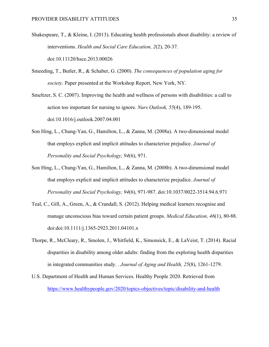- Shakespeare, T., & Kleine, I. (2013). Educating health professionals about disability: a review of interventions. *Health and Social Care Education, 2*(2), 20-37. doi:10.11120/hsce.2013.00026
- Smeeding, T., Butler, R., & Schaber, G. (2000). *The consequences of population aging for society.* Paper presented at the Workshop Report, New York, NY.
- Smeltzer, S. C. (2007). Improving the health and wellness of persons with disabilities: a call to action too important for nursing to ignore. *Nurs Outlook, 55*(4), 189-195. doi:10.1016/j.outlook.2007.04.001
- Son Hing, L., Chung-Yan, G., Hamilton, L., & Zanna, M. (2008a). A two-dimensional model that employs explicit and implicit attitudes to characterize prejudice. *Journal of Personality and Social Psychology, 94*(6), 971.
- Son Hing, L., Chung-Yan, G., Hamilton, L., & Zanna, M. (2008b). A two-dimensional model that employs explicit and implicit attitudes to characterize prejudice. *Journal of Personality and Social Psychology, 94*(6), 971-987. doi:10.1037/0022-3514.94.6.971
- Teal, C., Gill, A., Green, A., & Crandall, S. (2012). Helping medical learners recognise and manage unconscious bias toward certain patient groups. *Medical Education, 46*(1), 80-88. doi:doi:10.1111/j.1365-2923.2011.04101.x
- Thorpe, R., McCleary, R., Smolen, J., Whitfield, K., Simonsick, E., & LaVeist, T. (2014). Racial disparities in disability among older adults: finding from the exploring health disparities in integrated communities study. . *Journal of Aging and Health, 25*(8), 1261-1279.
- U.S. Department of Health and Human Services. Healthy People 2020. Retrieved from <https://www.healthypeople.gov/2020/topics-objectives/topic/disability-and-health>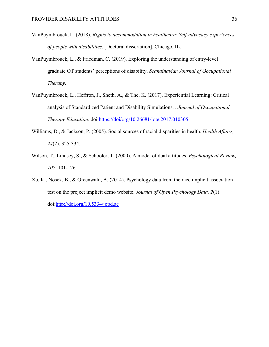- VanPuymbrouck, L. (2018). *Rights to accommodation in healthcare: Self-advocacy experiences of people with disabilities*. [Doctoral dissertation]. Chicago, IL.
- VanPuymbrouck, L., & Friedman, C. (2019). Exploring the understanding of entry-level graduate OT students' perceptions of disability. *Scandinavian Journal of Occupational Therapy*.
- VanPuymbrouck, L., Heffron, J., Sheth, A., & The, K. (2017). Experiential Learning: Critical analysis of Standardized Patient and Disability Simulations. . *Journal of Occupational Therapy Education*. doi[:https://doi/org/10.26681/jote.2017.010305](https://doi/org/10.26681/jote.2017.010305)
- Williams, D., & Jackson, P. (2005). Social sources of racial disparities in health. *Health Affairs, 24*(2), 325-334.
- Wilson, T., Lindsey, S., & Schooler, T. (2000). A model of dual attitudes. *Psychological Review, 107*, 101-126.
- Xu, K., Nosek, B., & Greenwald, A. (2014). Psychology data from the race implicit association test on the project implicit demo website. *Journal of Open Psychology Data, 2*(1). doi[:http://doi.org/10.5334/jopd.ac](http://doi.org/10.5334/jopd.ac)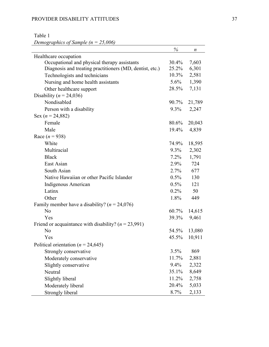# Table 1

*Demographics of Sample (n = 25,006)*

|                                                          | $\%$     | n      |
|----------------------------------------------------------|----------|--------|
| Healthcare occupation                                    |          |        |
| Occupational and physical therapy assistants             | $30.4\%$ | 7,603  |
| Diagnosis and treating practitioners (MD, dentist, etc.) | 25.2%    | 6,301  |
| Technologists and technicians                            | $10.3\%$ | 2,581  |
| Nursing and home health assistants                       | $5.6\%$  | 1,390  |
| Other healthcare support                                 | 28.5%    | 7,131  |
| Disability ( $n = 24,036$ )                              |          |        |
| Nondisabled                                              | 90.7%    | 21,789 |
| Person with a disability                                 | $9.3\%$  | 2,247  |
| Sex ( $n = 24,882$ )                                     |          |        |
| Female                                                   | 80.6%    | 20,043 |
| Male                                                     | 19.4%    | 4,839  |
| Race $(n = 938)$                                         |          |        |
| White                                                    | 74.9%    | 18,595 |
| Multiracial                                              | $9.3\%$  | 2,302  |
| <b>Black</b>                                             | $7.2\%$  | 1,791  |
| East Asian                                               | $2.9\%$  | 724    |
| South Asian                                              | $2.7\%$  | 677    |
| Native Hawaiian or other Pacific Islander                | $0.5\%$  | 130    |
| Indigenous American                                      | $0.5\%$  | 121    |
| Latinx                                                   | $0.2\%$  | 50     |
| Other                                                    | 1.8%     | 449    |
| Family member have a disability? ( $n = 24,076$ )        |          |        |
| N <sub>o</sub>                                           | 60.7%    | 14,615 |
| Yes                                                      | 39.3%    | 9,461  |
| Friend or acquaintance with disability? ( $n = 23,991$ ) |          |        |
| N <sub>o</sub>                                           | 54.5%    | 13,080 |
| Yes                                                      | 45.5%    | 10,911 |
| Political orientation ( $n = 24,645$ )                   |          |        |
| Strongly conservative                                    | 3.5%     | 869    |
| Moderately conservative                                  | 11.7%    | 2,881  |
| Slightly conservative                                    | 9.4%     | 2,322  |
| Neutral                                                  | 35.1%    | 8,649  |
| Slightly liberal                                         | 11.2%    | 2,758  |
| Moderately liberal                                       | 20.4%    | 5,033  |
| Strongly liberal                                         | 8.7%     | 2,133  |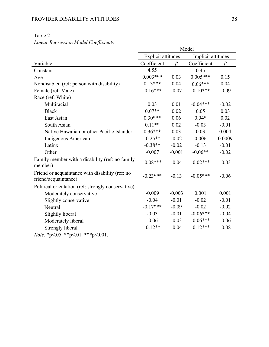| Lincar Regression model Coefficients                                    | Model              |          |                    |         |
|-------------------------------------------------------------------------|--------------------|----------|--------------------|---------|
|                                                                         | Explicit attitudes |          | Implicit attitudes |         |
| Variable                                                                | Coefficient        |          | Coefficient        |         |
| Constant                                                                | 4.55               |          | 0.45               |         |
| Age                                                                     | $0.003***$         | 0.03     | $0.005***$         | 0.15    |
| Nondisabled (ref: person with disability)                               | $0.13***$          | 0.04     | $0.06***$          | 0.04    |
| Female (ref: Male)                                                      | $-0.16***$         | $-0.07$  | $-0.10***$         | $-0.09$ |
| Race (ref: White)                                                       |                    |          |                    |         |
| Multiracial                                                             | 0.03               | 0.01     | $-0.04***$         | $-0.02$ |
| <b>Black</b>                                                            | $0.07**$           | 0.02     | 0.05               | 0.03    |
| East Asian                                                              | $0.30***$          | 0.06     | $0.04*$            | 0.02    |
| South Asian                                                             | $0.11**$           | 0.02     | $-0.03$            | $-0.01$ |
| Native Hawaiian or other Pacific Islander                               | $0.36***$          | 0.03     | 0.03               | 0.004   |
| Indigenous American                                                     | $-0.25**$          | $-0.02$  | 0.006              | 0.0009  |
| Latinx                                                                  | $-0.38**$          | $-0.02$  | $-0.13$            | $-0.01$ |
| Other                                                                   | $-0.007$           | $-0.001$ | $-0.06**$          | $-0.02$ |
| Family member with a disability (ref: no family<br>member)              | $-0.08***$         | $-0.04$  | $-0.02***$         | $-0.03$ |
| Friend or acquaintance with disability (ref: no<br>friend/acquaintance) | $-0.23***$         | $-0.13$  | $-0.05***$         | $-0.06$ |
| Political orientation (ref: strongly conservative)                      |                    |          |                    |         |
| Moderately conservative                                                 | $-0.009$           | $-0.003$ | 0.001              | 0.001   |
| Slightly conservative                                                   | $-0.04$            | $-0.01$  | $-0.02$            | $-0.01$ |
| Neutral                                                                 | $-0.17***$         | $-0.09$  | $-0.02$            | $-0.02$ |
| Slightly liberal                                                        | $-0.03$            | $-0.01$  | $-0.06***$         | $-0.04$ |
| Moderately liberal                                                      | $-0.06$            | $-0.03$  | $-0.06***$         | $-0.06$ |
| Strongly liberal                                                        | $-0.12**$          | $-0.04$  | $-0.12***$         | $-0.08$ |

## Table 2 *Linear Regression Model Coefficients*

*Note*. \*p<.05. \*\*p<.01. \*\*\*p<.001.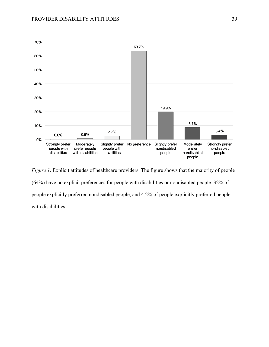

*Figure 1*. Explicit attitudes of healthcare providers. The figure shows that the majority of people (64%) have no explicit preferences for people with disabilities or nondisabled people. 32% of people explicitly preferred nondisabled people, and 4.2% of people explicitly preferred people with disabilities.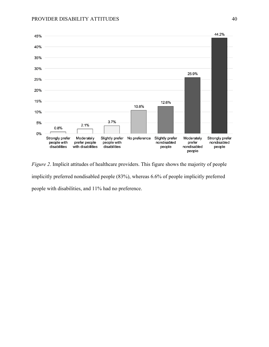

*Figure 2*. Implicit attitudes of healthcare providers. This figure shows the majority of people implicitly preferred nondisabled people (83%), whereas 6.6% of people implicitly preferred people with disabilities, and 11% had no preference.